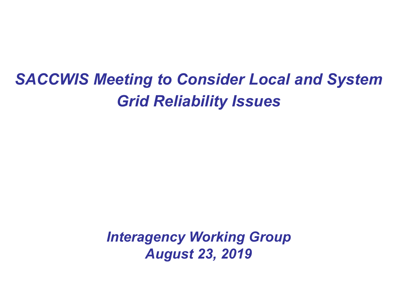# *SACCWIS Meeting to Consider Local and System Grid Reliability Issues*

*Interagency Working Group August 23, 2019*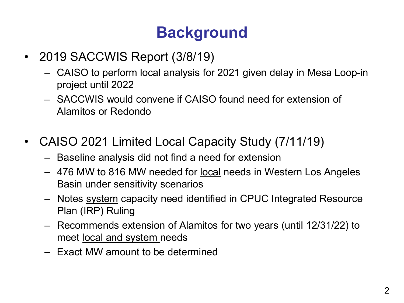# **Background**

- 2019 SACCWIS Report (3/8/19)
	- CAISO to perform local analysis for 2021 given delay in Mesa Loop-in project until 2022
	- SACCWIS would convene if CAISO found need for extension of Alamitos or Redondo
- CAISO 2021 Limited Local Capacity Study (7/11/19)
	- Baseline analysis did not find a need for extension
	- 476 MW to 816 MW needed for <u>local</u> needs in Western Los Angeles Basin under sensitivity scenarios
	- Notes system capacity need identified in CPUC Integrated Resource Plan (IRP) Ruling
	- Recommends extension of Alamitos for two years (until 12/31/22) to meet local and system needs
	- Exact MW amount to be determined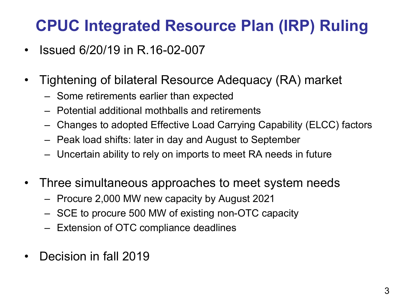## **CPUC Integrated Resource Plan (IRP) Ruling**

- Issued 6/20/19 in R.16-02-007
- Tightening of bilateral Resource Adequacy (RA) market
	- Some retirements earlier than expected
	- Potential additional mothballs and retirements
	- Changes to adopted Effective Load Carrying Capability (ELCC) factors
	- Peak load shifts: later in day and August to September
	- Uncertain ability to rely on imports to meet RA needs in future
- Three simultaneous approaches to meet system needs
	- Procure 2,000 MW new capacity by August 2021
	- SCE to procure 500 MW of existing non-OTC capacity
	- Extension of OTC compliance deadlines
- Decision in fall 2019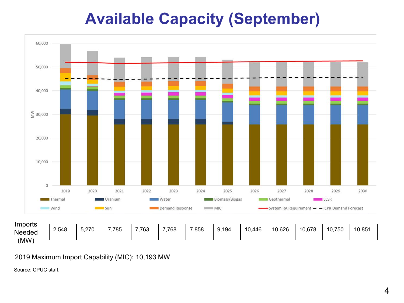## **Available Capacity (September)**



2019 Maximum Import Capability (MIC): 10,193 MW

Source: CPUC staff.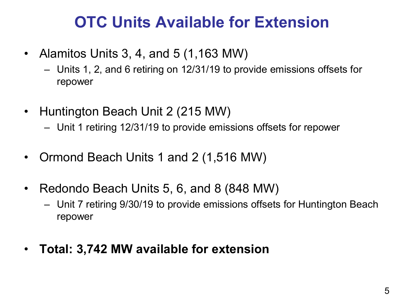## **OTC Units Available for Extension**

- Alamitos Units 3, 4, and 5  $(1,163 \text{ MW})$ 
	- Units 1, 2, and 6 retiring on 12/31/19 to provide emissions offsets for repower
- Huntington Beach Unit 2 (215 MW)
	- Unit 1 retiring 12/31/19 to provide emissions offsets for repower
- Ormond Beach Units 1 and 2 (1,516 MW)
- Redondo Beach Units 5, 6, and 8 (848 MW)
	- Unit 7 retiring 9/30/19 to provide emissions offsets for Huntington Beach repower
- **Total: 3,742 MW available for extension**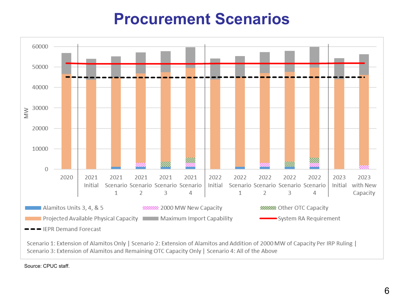#### **Procurement Scenarios**



Source: CPUC staff.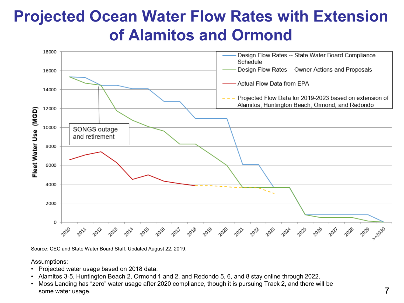## **Projected Ocean Water Flow Rates with Extension of Alamitos and Ormond**



Source: CEC and State Water Board Staff, Updated August 22, 2019.

Assumptions:

- Projected water usage based on 2018 data.
- Alamitos 3-5, Huntington Beach 2, Ormond 1 and 2, and Redondo 5, 6, and 8 stay online through 2022.
- Moss Landing has "zero" water usage after 2020 compliance, though it is pursuing Track 2, and there will be some water usage.  $\overline{7}$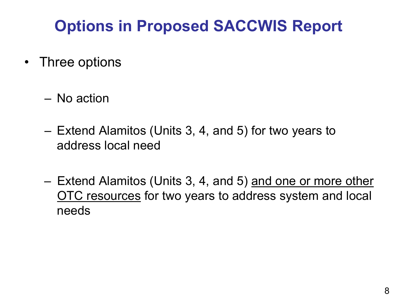# **Options in Proposed SACCWIS Report**

- Three options
	- No action
	- Extend Alamitos (Units 3, 4, and 5) for two years to address local need
	- Extend Alamitos (Units 3, 4, and 5) and one or more other OTC resources for two years to address system and local needs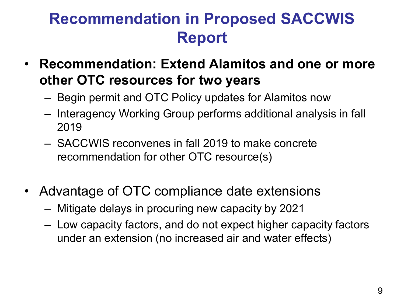## **Recommendation in Proposed SACCWIS Report**

- **Recommendation: Extend Alamitos and one or more other OTC resources for two years**
	- Begin permit and OTC Policy updates for Alamitos now
	- Interagency Working Group performs additional analysis in fall 2019
	- SACCWIS reconvenes in fall 2019 to make concrete recommendation for other OTC resource(s)
- Advantage of OTC compliance date extensions
	- Mitigate delays in procuring new capacity by 2021
	- Low capacity factors, and do not expect higher capacity factors under an extension (no increased air and water effects)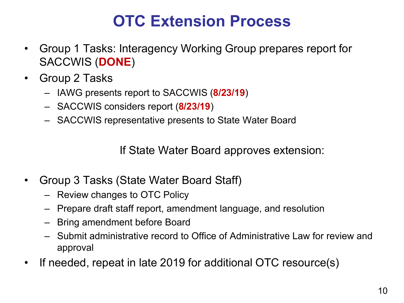## **OTC Extension Process**

- Group 1 Tasks: Interagency Working Group prepares report for SACCWIS (**DONE**)
- Group 2 Tasks
	- IAWG presents report to SACCWIS (**8/23/19**)
	- SACCWIS considers report (**8/23/19**)
	- SACCWIS representative presents to State Water Board

If State Water Board approves extension:

- Group 3 Tasks (State Water Board Staff)
	- Review changes to OTC Policy
	- Prepare draft staff report, amendment language, and resolution
	- Bring amendment before Board
	- Submit administrative record to Office of Administrative Law for review and approval
- If needed, repeat in late 2019 for additional OTC resource(s)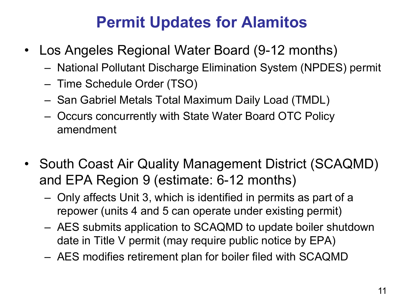## **Permit Updates for Alamitos**

- Los Angeles Regional Water Board (9-12 months)
	- National Pollutant Discharge Elimination System (NPDES) permit
	- Time Schedule Order (TSO)
	- San Gabriel Metals Total Maximum Daily Load (TMDL)
	- Occurs concurrently with State Water Board OTC Policy amendment
- South Coast Air Quality Management District (SCAQMD) and EPA Region 9 (estimate: 6-12 months)
	- Only affects Unit 3, which is identified in permits as part of a repower (units 4 and 5 can operate under existing permit)
	- AES submits application to SCAQMD to update boiler shutdown date in Title V permit (may require public notice by EPA)
	- AES modifies retirement plan for boiler filed with SCAQMD